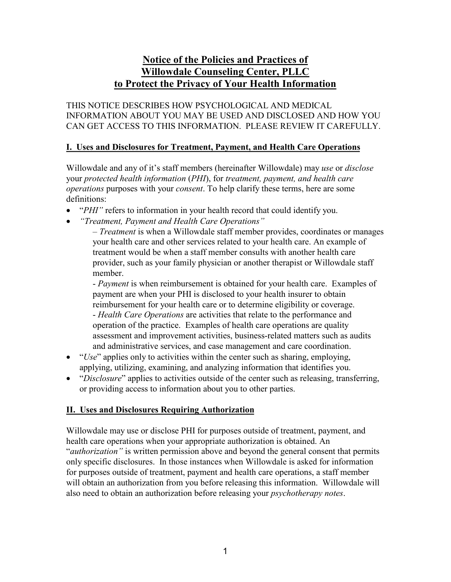# **Notice of the Policies and Practices of Willowdale Counseling Center, PLLC to Protect the Privacy of Your Health Information**

THIS NOTICE DESCRIBES HOW PSYCHOLOGICAL AND MEDICAL INFORMATION ABOUT YOU MAY BE USED AND DISCLOSED AND HOW YOU CAN GET ACCESS TO THIS INFORMATION. PLEASE REVIEW IT CAREFULLY.

### **I. Uses and Disclosures for Treatment, Payment, and Health Care Operations**

Willowdale and any of it's staff members (hereinafter Willowdale) may *use* or *disclose* your *protected health information* (*PHI*), for *treatment, payment, and health care operations* purposes with your *consent*. To help clarify these terms, here are some definitions:

- "*PHI*" refers to information in your health record that could identify you.
- *"Treatment, Payment and Health Care Operations"*

– *Treatment* is when a Willowdale staff member provides, coordinates or manages your health care and other services related to your health care. An example of treatment would be when a staff member consults with another health care provider, such as your family physician or another therapist or Willowdale staff member.

- *Payment* is when reimbursement is obtained for your health care. Examples of payment are when your PHI is disclosed to your health insurer to obtain reimbursement for your health care or to determine eligibility or coverage. - *Health Care Operations* are activities that relate to the performance and operation of the practice. Examples of health care operations are quality assessment and improvement activities, business-related matters such as audits and administrative services, and case management and care coordination.

- "*Use*" applies only to activities within the center such as sharing, employing, applying, utilizing, examining, and analyzing information that identifies you.
- "*Disclosure*" applies to activities outside of the center such as releasing, transferring, or providing access to information about you to other parties.

#### **II. Uses and Disclosures Requiring Authorization**

Willowdale may use or disclose PHI for purposes outside of treatment, payment, and health care operations when your appropriate authorization is obtained. An "*authorization"* is written permission above and beyond the general consent that permits only specific disclosures. In those instances when Willowdale is asked for information for purposes outside of treatment, payment and health care operations, a staff member will obtain an authorization from you before releasing this information. Willowdale will also need to obtain an authorization before releasing your *psychotherapy notes*.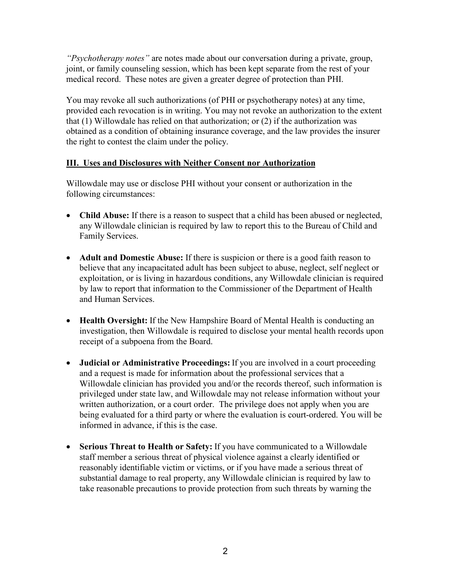*"Psychotherapy notes"* are notes made about our conversation during a private, group, joint, or family counseling session, which has been kept separate from the rest of your medical record. These notes are given a greater degree of protection than PHI.

You may revoke all such authorizations (of PHI or psychotherapy notes) at any time, provided each revocation is in writing. You may not revoke an authorization to the extent that (1) Willowdale has relied on that authorization; or (2) if the authorization was obtained as a condition of obtaining insurance coverage, and the law provides the insurer the right to contest the claim under the policy.

### **III. Uses and Disclosures with Neither Consent nor Authorization**

Willowdale may use or disclose PHI without your consent or authorization in the following circumstances:

- **Child Abuse:** If there is a reason to suspect that a child has been abused or neglected, any Willowdale clinician is required by law to report this to the Bureau of Child and Family Services.
- **Adult and Domestic Abuse:** If there is suspicion or there is a good faith reason to believe that any incapacitated adult has been subject to abuse, neglect, self neglect or exploitation, or is living in hazardous conditions, any Willowdale clinician is required by law to report that information to the Commissioner of the Department of Health and Human Services.
- **Health Oversight:** If the New Hampshire Board of Mental Health is conducting an investigation, then Willowdale is required to disclose your mental health records upon receipt of a subpoena from the Board.
- **Judicial or Administrative Proceedings:** If you are involved in a court proceeding and a request is made for information about the professional services that a Willowdale clinician has provided you and/or the records thereof, such information is privileged under state law, and Willowdale may not release information without your written authorization, or a court order. The privilege does not apply when you are being evaluated for a third party or where the evaluation is court-ordered. You will be informed in advance, if this is the case.
- **Serious Threat to Health or Safety:** If you have communicated to a Willowdale staff member a serious threat of physical violence against a clearly identified or reasonably identifiable victim or victims, or if you have made a serious threat of substantial damage to real property, any Willowdale clinician is required by law to take reasonable precautions to provide protection from such threats by warning the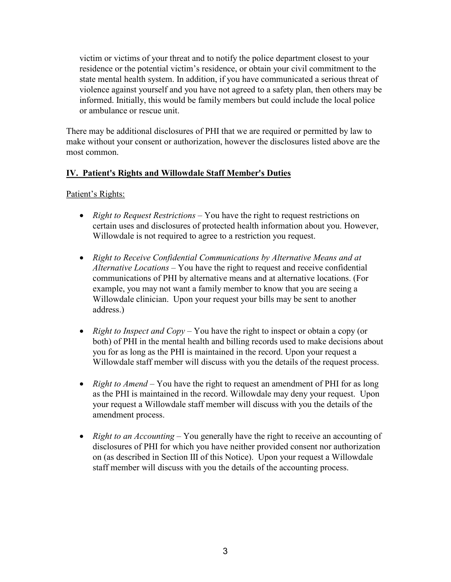victim or victims of your threat and to notify the police department closest to your residence or the potential victim's residence, or obtain your civil commitment to the state mental health system. In addition, if you have communicated a serious threat of violence against yourself and you have not agreed to a safety plan, then others may be informed. Initially, this would be family members but could include the local police or ambulance or rescue unit.

There may be additional disclosures of PHI that we are required or permitted by law to make without your consent or authorization, however the disclosures listed above are the most common.

### **IV. Patient's Rights and Willowdale Staff Member's Duties**

### Patient's Rights:

- *Right to Request Restrictions* You have the right to request restrictions on certain uses and disclosures of protected health information about you. However, Willowdale is not required to agree to a restriction you request.
- *Right to Receive Confidential Communications by Alternative Means and at Alternative Locations* – You have the right to request and receive confidential communications of PHI by alternative means and at alternative locations. (For example, you may not want a family member to know that you are seeing a Willowdale clinician. Upon your request your bills may be sent to another address.)
- *Right to Inspect and Copy*  You have the right to inspect or obtain a copy (or both) of PHI in the mental health and billing records used to make decisions about you for as long as the PHI is maintained in the record. Upon your request a Willowdale staff member will discuss with you the details of the request process.
- *Right to Amend* You have the right to request an amendment of PHI for as long as the PHI is maintained in the record. Willowdale may deny your request. Upon your request a Willowdale staff member will discuss with you the details of the amendment process.
- *Right to an Accounting* You generally have the right to receive an accounting of disclosures of PHI for which you have neither provided consent nor authorization on (as described in Section III of this Notice). Upon your request a Willowdale staff member will discuss with you the details of the accounting process.